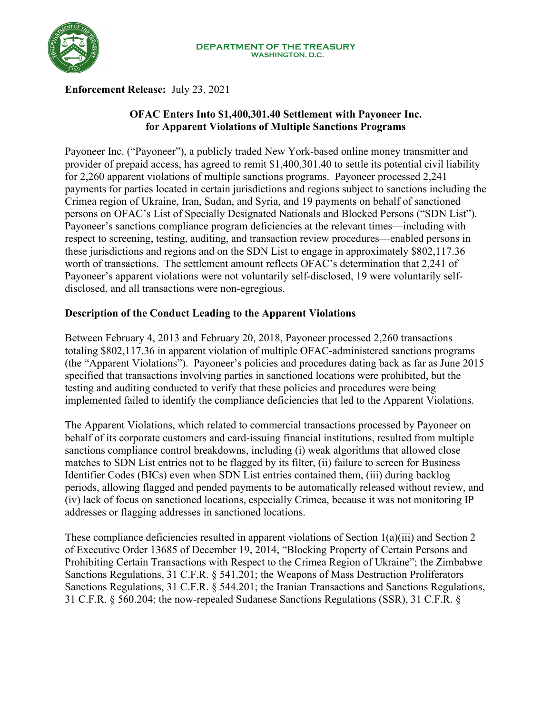

**Enforcement Release:** July 23, 2021

# **OFAC Enters Into \$1,400,301.40 Settlement with Payoneer Inc. for Apparent Violations of Multiple Sanctions Programs**

Payoneer Inc. ("Payoneer"), a publicly traded New York-based online money transmitter and provider of prepaid access, has agreed to remit \$1,400,301.40 to settle its potential civil liability for 2,260 apparent violations of multiple sanctions programs. Payoneer processed 2,241 payments for parties located in certain jurisdictions and regions subject to sanctions including the Crimea region of Ukraine, Iran, Sudan, and Syria, and 19 payments on behalf of sanctioned persons on OFAC's List of Specially Designated Nationals and Blocked Persons ("SDN List"). Payoneer's sanctions compliance program deficiencies at the relevant times—including with respect to screening, testing, auditing, and transaction review procedures—enabled persons in these jurisdictions and regions and on the SDN List to engage in approximately \$802,117.36 worth of transactions. The settlement amount reflects OFAC's determination that 2,241 of Payoneer's apparent violations were not voluntarily self-disclosed, 19 were voluntarily selfdisclosed, and all transactions were non-egregious.

## **Description of the Conduct Leading to the Apparent Violations**

Between February 4, 2013 and February 20, 2018, Payoneer processed 2,260 transactions totaling \$802,117.36 in apparent violation of multiple OFAC-administered sanctions programs (the "Apparent Violations"). Payoneer's policies and procedures dating back as far as June 2015 specified that transactions involving parties in sanctioned locations were prohibited, but the testing and auditing conducted to verify that these policies and procedures were being implemented failed to identify the compliance deficiencies that led to the Apparent Violations.

The Apparent Violations, which related to commercial transactions processed by Payoneer on behalf of its corporate customers and card-issuing financial institutions, resulted from multiple sanctions compliance control breakdowns, including (i) weak algorithms that allowed close matches to SDN List entries not to be flagged by its filter, (ii) failure to screen for Business Identifier Codes (BICs) even when SDN List entries contained them, (iii) during backlog periods, allowing flagged and pended payments to be automatically released without review, and (iv) lack of focus on sanctioned locations, especially Crimea, because it was not monitoring IP addresses or flagging addresses in sanctioned locations.

These compliance deficiencies resulted in apparent violations of Section 1(a)(iii) and Section 2 of Executive Order 13685 of December 19, 2014, "Blocking Property of Certain Persons and Prohibiting Certain Transactions with Respect to the Crimea Region of Ukraine"; the Zimbabwe Sanctions Regulations, 31 C.F.R. § 541.201; the Weapons of Mass Destruction Proliferators Sanctions Regulations, 31 C.F.R. § 544.201; the Iranian Transactions and Sanctions Regulations, 31 C.F.R. § 560.204; the now-repealed Sudanese Sanctions Regulations (SSR), 31 C.F.R. §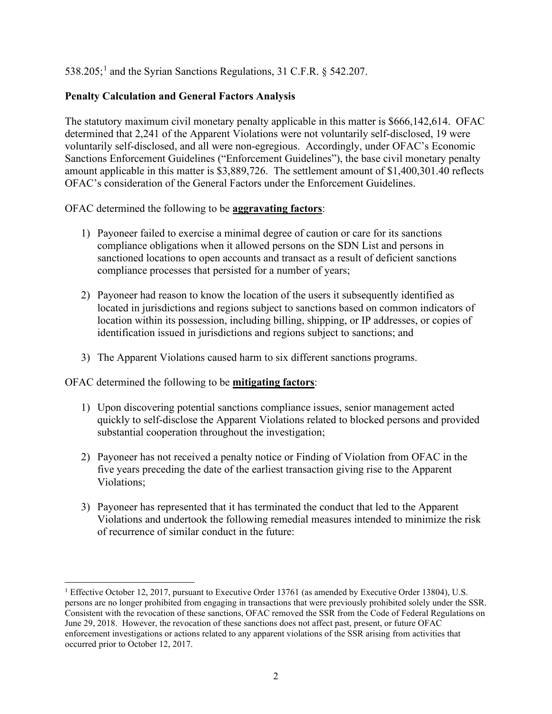$538.205$ ;<sup>[1](#page-1-0)</sup> and the Syrian Sanctions Regulations, 31 C.F.R. § 542.207.

### **Penalty Calculation and General Factors Analysis**

The statutory maximum civil monetary penalty applicable in this matter is \$666,142,614. OFAC determined that 2,241 of the Apparent Violations were not voluntarily self-disclosed, 19 were voluntarily self-disclosed, and all were non-egregious. Accordingly, under OFAC's Economic Sanctions Enforcement Guidelines ("Enforcement Guidelines"), the base civil monetary penalty amount applicable in this matter is \$3,889,726. The settlement amount of \$1,400,301.40 reflects OFAC's consideration of the General Factors under the Enforcement Guidelines.

OFAC determined the following to be **aggravating factors**:

- 1) Payoneer failed to exercise a minimal degree of caution or care for its sanctions compliance obligations when it allowed persons on the SDN List and persons in sanctioned locations to open accounts and transact as a result of deficient sanctions compliance processes that persisted for a number of years;
- 2) Payoneer had reason to know the location of the users it subsequently identified as located in jurisdictions and regions subject to sanctions based on common indicators of location within its possession, including billing, shipping, or IP addresses, or copies of identification issued in jurisdictions and regions subject to sanctions; and
- 3) The Apparent Violations caused harm to six different sanctions programs.

OFAC determined the following to be **mitigating factors**:

- 1) Upon discovering potential sanctions compliance issues, senior management acted quickly to self-disclose the Apparent Violations related to blocked persons and provided substantial cooperation throughout the investigation;
- 2) Payoneer has not received a penalty notice or Finding of Violation from OFAC in the five years preceding the date of the earliest transaction giving rise to the Apparent Violations;
- 3) Payoneer has represented that it has terminated the conduct that led to the Apparent Violations and undertook the following remedial measures intended to minimize the risk of recurrence of similar conduct in the future:

<span id="page-1-0"></span><sup>&</sup>lt;sup>1</sup> Effective October 12, 2017, pursuant to Executive Order 13761 (as amended by Executive Order 13804), U.S. persons are no longer prohibited from engaging in transactions that were previously prohibited solely under the SSR. Consistent with the revocation of these sanctions, OFAC removed the SSR from the Code of Federal Regulations on June 29, 2018. However, the revocation of these sanctions does not affect past, present, or future OFAC enforcement investigations or actions related to any apparent violations of the SSR arising from activities that occurred prior to October 12, 2017.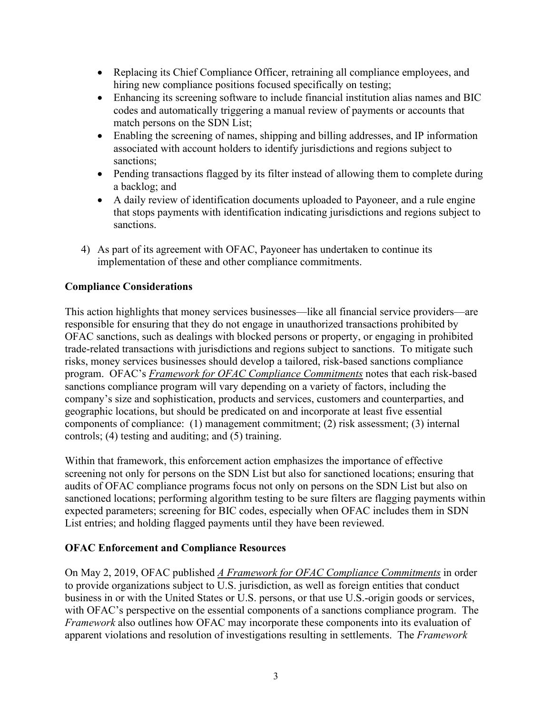- Replacing its Chief Compliance Officer, retraining all compliance employees, and hiring new compliance positions focused specifically on testing;
- Enhancing its screening software to include financial institution alias names and BIC codes and automatically triggering a manual review of payments or accounts that match persons on the SDN List;
- Enabling the screening of names, shipping and billing addresses, and IP information associated with account holders to identify jurisdictions and regions subject to sanctions;
- Pending transactions flagged by its filter instead of allowing them to complete during a backlog; and
- A daily review of identification documents uploaded to Payoneer, and a rule engine that stops payments with identification indicating jurisdictions and regions subject to sanctions.
- 4) As part of its agreement with OFAC, Payoneer has undertaken to continue its implementation of these and other compliance commitments.

# **Compliance Considerations**

This action highlights that money services businesses—like all financial service providers—are responsible for ensuring that they do not engage in unauthorized transactions prohibited by OFAC sanctions, such as dealings with blocked persons or property, or engaging in prohibited trade-related transactions with jurisdictions and regions subject to sanctions. To mitigate such risks, money services businesses should develop a tailored, risk-based sanctions compliance program. OFAC's *[Framework for OFAC Compliance Commitments](https://home.treasury.gov/system/files/126/framework_ofac_cc.pdf)* notes that each risk-based sanctions compliance program will vary depending on a variety of factors, including the company's size and sophistication, products and services, customers and counterparties, and geographic locations, but should be predicated on and incorporate at least five essential components of compliance: (1) management commitment; (2) risk assessment; (3) internal controls; (4) testing and auditing; and (5) training.

Within that framework, this enforcement action emphasizes the importance of effective screening not only for persons on the SDN List but also for sanctioned locations; ensuring that audits of OFAC compliance programs focus not only on persons on the SDN List but also on sanctioned locations; performing algorithm testing to be sure filters are flagging payments within expected parameters; screening for BIC codes, especially when OFAC includes them in SDN List entries; and holding flagged payments until they have been reviewed.

### **OFAC Enforcement and Compliance Resources**

On May 2, 2019, OFAC published *[A Framework for OFAC Compliance Commitments](https://home.treasury.gov/system/files/126/framework_ofac_cc.pdf)* in order to provide organizations subject to U.S. jurisdiction, as well as foreign entities that conduct business in or with the United States or U.S. persons, or that use U.S.-origin goods or services, with OFAC's perspective on the essential components of a sanctions compliance program. The *Framework* also outlines how OFAC may incorporate these components into its evaluation of apparent violations and resolution of investigations resulting in settlements. The *Framework*